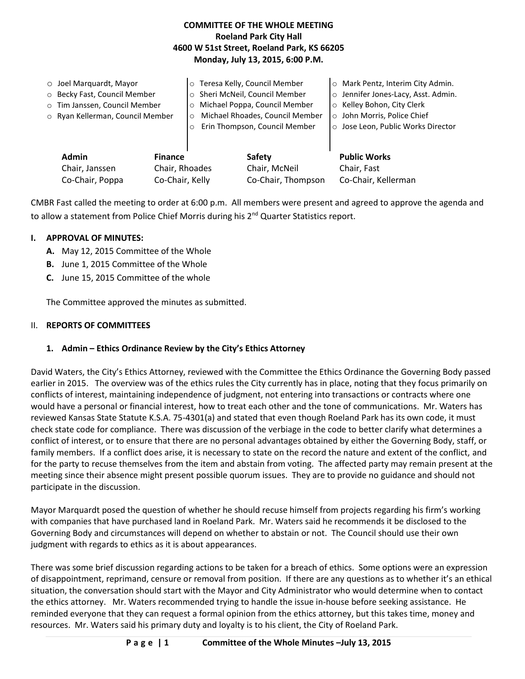## **COMMITTEE OF THE WHOLE MEETING Roeland Park City Hall 4600 W 51st Street, Roeland Park, KS 66205 Monday, July 13, 2015, 6:00 P.M.**

|  | $\circ$ Joel Marquardt, Mayor<br>O Becky Fast, Council Member<br>o Tim Janssen, Council Member<br>o Ryan Kellerman, Council Member<br><b>Admin</b><br><b>Finance</b><br>Chair, Rhoades<br>Chair, Janssen<br>Co-Chair, Poppa<br>Co-Chair, Kelly |  | o Teresa Kelly, Council Member<br>Sheri McNeil, Council Member<br>$\circ$<br>Michael Poppa, Council Member<br>$\circ$<br>Michael Rhoades, Council Member<br>$\circ$<br>Erin Thompson, Council Member |                    | Mark Pentz, Interim City Admin.<br>$\circ$<br>Jennifer Jones-Lacy, Asst. Admin.<br>$\circ$<br>Kelley Bohon, City Clerk<br>$\circ$<br>o John Morris, Police Chief<br>o Jose Leon, Public Works Director |
|--|------------------------------------------------------------------------------------------------------------------------------------------------------------------------------------------------------------------------------------------------|--|------------------------------------------------------------------------------------------------------------------------------------------------------------------------------------------------------|--------------------|--------------------------------------------------------------------------------------------------------------------------------------------------------------------------------------------------------|
|  |                                                                                                                                                                                                                                                |  | Safety<br>Chair, McNeil                                                                                                                                                                              |                    | <b>Public Works</b><br>Chair, Fast                                                                                                                                                                     |
|  |                                                                                                                                                                                                                                                |  |                                                                                                                                                                                                      | Co-Chair, Thompson | Co-Chair, Kellerman                                                                                                                                                                                    |

CMBR Fast called the meeting to order at 6:00 p.m. All members were present and agreed to approve the agenda and to allow a statement from Police Chief Morris during his 2<sup>nd</sup> Quarter Statistics report.

### **I. APPROVAL OF MINUTES:**

- **A.** May 12, 2015 Committee of the Whole
- **B.** June 1, 2015 Committee of the Whole
- **C.** June 15, 2015 Committee of the whole

The Committee approved the minutes as submitted.

### II. **REPORTS OF COMMITTEES**

# **1. Admin – Ethics Ordinance Review by the City's Ethics Attorney**

David Waters, the City's Ethics Attorney, reviewed with the Committee the Ethics Ordinance the Governing Body passed earlier in 2015. The overview was of the ethics rules the City currently has in place, noting that they focus primarily on conflicts of interest, maintaining independence of judgment, not entering into transactions or contracts where one would have a personal or financial interest, how to treat each other and the tone of communications. Mr. Waters has reviewed Kansas State Statute K.S.A. 75-4301(a) and stated that even though Roeland Park has its own code, it must check state code for compliance. There was discussion of the verbiage in the code to better clarify what determines a conflict of interest, or to ensure that there are no personal advantages obtained by either the Governing Body, staff, or family members. If a conflict does arise, it is necessary to state on the record the nature and extent of the conflict, and for the party to recuse themselves from the item and abstain from voting. The affected party may remain present at the meeting since their absence might present possible quorum issues. They are to provide no guidance and should not participate in the discussion.

Mayor Marquardt posed the question of whether he should recuse himself from projects regarding his firm's working with companies that have purchased land in Roeland Park. Mr. Waters said he recommends it be disclosed to the Governing Body and circumstances will depend on whether to abstain or not. The Council should use their own judgment with regards to ethics as it is about appearances.

There was some brief discussion regarding actions to be taken for a breach of ethics. Some options were an expression of disappointment, reprimand, censure or removal from position. If there are any questions as to whether it's an ethical situation, the conversation should start with the Mayor and City Administrator who would determine when to contact the ethics attorney. Mr. Waters recommended trying to handle the issue in-house before seeking assistance. He reminded everyone that they can request a formal opinion from the ethics attorney, but this takes time, money and resources. Mr. Waters said his primary duty and loyalty is to his client, the City of Roeland Park.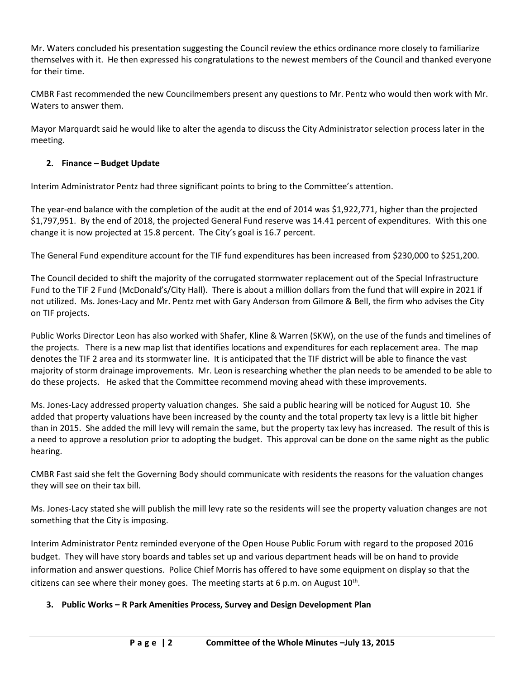Mr. Waters concluded his presentation suggesting the Council review the ethics ordinance more closely to familiarize themselves with it. He then expressed his congratulations to the newest members of the Council and thanked everyone for their time.

CMBR Fast recommended the new Councilmembers present any questions to Mr. Pentz who would then work with Mr. Waters to answer them.

Mayor Marquardt said he would like to alter the agenda to discuss the City Administrator selection process later in the meeting.

### **2. Finance – Budget Update**

Interim Administrator Pentz had three significant points to bring to the Committee's attention.

The year-end balance with the completion of the audit at the end of 2014 was \$1,922,771, higher than the projected \$1,797,951. By the end of 2018, the projected General Fund reserve was 14.41 percent of expenditures. With this one change it is now projected at 15.8 percent. The City's goal is 16.7 percent.

The General Fund expenditure account for the TIF fund expenditures has been increased from \$230,000 to \$251,200.

The Council decided to shift the majority of the corrugated stormwater replacement out of the Special Infrastructure Fund to the TIF 2 Fund (McDonald's/City Hall). There is about a million dollars from the fund that will expire in 2021 if not utilized. Ms. Jones-Lacy and Mr. Pentz met with Gary Anderson from Gilmore & Bell, the firm who advises the City on TIF projects.

Public Works Director Leon has also worked with Shafer, Kline & Warren (SKW), on the use of the funds and timelines of the projects. There is a new map list that identifies locations and expenditures for each replacement area. The map denotes the TIF 2 area and its stormwater line. It is anticipated that the TIF district will be able to finance the vast majority of storm drainage improvements. Mr. Leon is researching whether the plan needs to be amended to be able to do these projects. He asked that the Committee recommend moving ahead with these improvements.

Ms. Jones-Lacy addressed property valuation changes. She said a public hearing will be noticed for August 10. She added that property valuations have been increased by the county and the total property tax levy is a little bit higher than in 2015. She added the mill levy will remain the same, but the property tax levy has increased. The result of this is a need to approve a resolution prior to adopting the budget. This approval can be done on the same night as the public hearing.

CMBR Fast said she felt the Governing Body should communicate with residents the reasons for the valuation changes they will see on their tax bill.

Ms. Jones-Lacy stated she will publish the mill levy rate so the residents will see the property valuation changes are not something that the City is imposing.

Interim Administrator Pentz reminded everyone of the Open House Public Forum with regard to the proposed 2016 budget. They will have story boards and tables set up and various department heads will be on hand to provide information and answer questions. Police Chief Morris has offered to have some equipment on display so that the citizens can see where their money goes. The meeting starts at 6 p.m. on August  $10^{\text{th}}$ .

### **3. Public Works – R Park Amenities Process, Survey and Design Development Plan**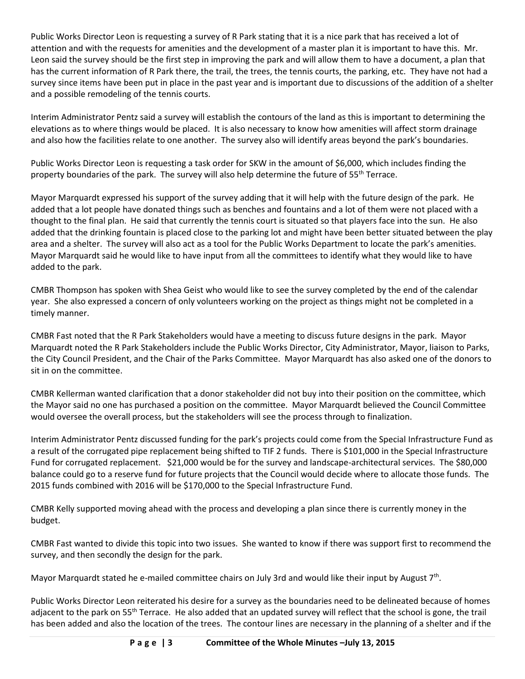Public Works Director Leon is requesting a survey of R Park stating that it is a nice park that has received a lot of attention and with the requests for amenities and the development of a master plan it is important to have this. Mr. Leon said the survey should be the first step in improving the park and will allow them to have a document, a plan that has the current information of R Park there, the trail, the trees, the tennis courts, the parking, etc. They have not had a survey since items have been put in place in the past year and is important due to discussions of the addition of a shelter and a possible remodeling of the tennis courts.

Interim Administrator Pentz said a survey will establish the contours of the land as this is important to determining the elevations as to where things would be placed. It is also necessary to know how amenities will affect storm drainage and also how the facilities relate to one another. The survey also will identify areas beyond the park's boundaries.

Public Works Director Leon is requesting a task order for SKW in the amount of \$6,000, which includes finding the property boundaries of the park. The survey will also help determine the future of 55<sup>th</sup> Terrace.

Mayor Marquardt expressed his support of the survey adding that it will help with the future design of the park. He added that a lot people have donated things such as benches and fountains and a lot of them were not placed with a thought to the final plan. He said that currently the tennis court is situated so that players face into the sun. He also added that the drinking fountain is placed close to the parking lot and might have been better situated between the play area and a shelter. The survey will also act as a tool for the Public Works Department to locate the park's amenities. Mayor Marquardt said he would like to have input from all the committees to identify what they would like to have added to the park.

CMBR Thompson has spoken with Shea Geist who would like to see the survey completed by the end of the calendar year. She also expressed a concern of only volunteers working on the project as things might not be completed in a timely manner.

CMBR Fast noted that the R Park Stakeholders would have a meeting to discuss future designs in the park. Mayor Marquardt noted the R Park Stakeholders include the Public Works Director, City Administrator, Mayor, liaison to Parks, the City Council President, and the Chair of the Parks Committee. Mayor Marquardt has also asked one of the donors to sit in on the committee.

CMBR Kellerman wanted clarification that a donor stakeholder did not buy into their position on the committee, which the Mayor said no one has purchased a position on the committee. Mayor Marquardt believed the Council Committee would oversee the overall process, but the stakeholders will see the process through to finalization.

Interim Administrator Pentz discussed funding for the park's projects could come from the Special Infrastructure Fund as a result of the corrugated pipe replacement being shifted to TIF 2 funds. There is \$101,000 in the Special Infrastructure Fund for corrugated replacement. \$21,000 would be for the survey and landscape-architectural services. The \$80,000 balance could go to a reserve fund for future projects that the Council would decide where to allocate those funds. The 2015 funds combined with 2016 will be \$170,000 to the Special Infrastructure Fund.

CMBR Kelly supported moving ahead with the process and developing a plan since there is currently money in the budget.

CMBR Fast wanted to divide this topic into two issues. She wanted to know if there was support first to recommend the survey, and then secondly the design for the park.

Mayor Marquardt stated he e-mailed committee chairs on July 3rd and would like their input by August 7<sup>th</sup>.

Public Works Director Leon reiterated his desire for a survey as the boundaries need to be delineated because of homes adjacent to the park on 55<sup>th</sup> Terrace. He also added that an updated survey will reflect that the school is gone, the trail has been added and also the location of the trees. The contour lines are necessary in the planning of a shelter and if the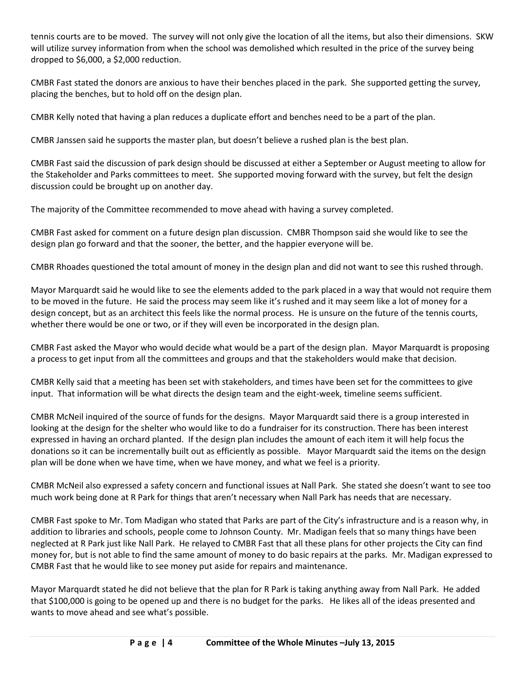tennis courts are to be moved. The survey will not only give the location of all the items, but also their dimensions. SKW will utilize survey information from when the school was demolished which resulted in the price of the survey being dropped to \$6,000, a \$2,000 reduction.

CMBR Fast stated the donors are anxious to have their benches placed in the park. She supported getting the survey, placing the benches, but to hold off on the design plan.

CMBR Kelly noted that having a plan reduces a duplicate effort and benches need to be a part of the plan.

CMBR Janssen said he supports the master plan, but doesn't believe a rushed plan is the best plan.

CMBR Fast said the discussion of park design should be discussed at either a September or August meeting to allow for the Stakeholder and Parks committees to meet. She supported moving forward with the survey, but felt the design discussion could be brought up on another day.

The majority of the Committee recommended to move ahead with having a survey completed.

CMBR Fast asked for comment on a future design plan discussion. CMBR Thompson said she would like to see the design plan go forward and that the sooner, the better, and the happier everyone will be.

CMBR Rhoades questioned the total amount of money in the design plan and did not want to see this rushed through.

Mayor Marquardt said he would like to see the elements added to the park placed in a way that would not require them to be moved in the future. He said the process may seem like it's rushed and it may seem like a lot of money for a design concept, but as an architect this feels like the normal process. He is unsure on the future of the tennis courts, whether there would be one or two, or if they will even be incorporated in the design plan.

CMBR Fast asked the Mayor who would decide what would be a part of the design plan. Mayor Marquardt is proposing a process to get input from all the committees and groups and that the stakeholders would make that decision.

CMBR Kelly said that a meeting has been set with stakeholders, and times have been set for the committees to give input. That information will be what directs the design team and the eight-week, timeline seems sufficient.

CMBR McNeil inquired of the source of funds for the designs. Mayor Marquardt said there is a group interested in looking at the design for the shelter who would like to do a fundraiser for its construction. There has been interest expressed in having an orchard planted. If the design plan includes the amount of each item it will help focus the donations so it can be incrementally built out as efficiently as possible. Mayor Marquardt said the items on the design plan will be done when we have time, when we have money, and what we feel is a priority.

CMBR McNeil also expressed a safety concern and functional issues at Nall Park. She stated she doesn't want to see too much work being done at R Park for things that aren't necessary when Nall Park has needs that are necessary.

CMBR Fast spoke to Mr. Tom Madigan who stated that Parks are part of the City's infrastructure and is a reason why, in addition to libraries and schools, people come to Johnson County. Mr. Madigan feels that so many things have been neglected at R Park just like Nall Park. He relayed to CMBR Fast that all these plans for other projects the City can find money for, but is not able to find the same amount of money to do basic repairs at the parks. Mr. Madigan expressed to CMBR Fast that he would like to see money put aside for repairs and maintenance.

Mayor Marquardt stated he did not believe that the plan for R Park is taking anything away from Nall Park. He added that \$100,000 is going to be opened up and there is no budget for the parks. He likes all of the ideas presented and wants to move ahead and see what's possible.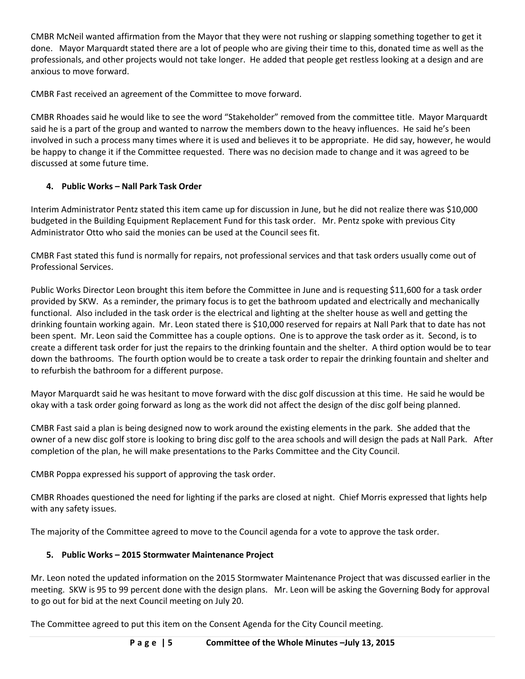CMBR McNeil wanted affirmation from the Mayor that they were not rushing or slapping something together to get it done. Mayor Marquardt stated there are a lot of people who are giving their time to this, donated time as well as the professionals, and other projects would not take longer. He added that people get restless looking at a design and are anxious to move forward.

CMBR Fast received an agreement of the Committee to move forward.

CMBR Rhoades said he would like to see the word "Stakeholder" removed from the committee title. Mayor Marquardt said he is a part of the group and wanted to narrow the members down to the heavy influences. He said he's been involved in such a process many times where it is used and believes it to be appropriate. He did say, however, he would be happy to change it if the Committee requested. There was no decision made to change and it was agreed to be discussed at some future time.

# **4. Public Works – Nall Park Task Order**

Interim Administrator Pentz stated this item came up for discussion in June, but he did not realize there was \$10,000 budgeted in the Building Equipment Replacement Fund for this task order. Mr. Pentz spoke with previous City Administrator Otto who said the monies can be used at the Council sees fit.

CMBR Fast stated this fund is normally for repairs, not professional services and that task orders usually come out of Professional Services.

Public Works Director Leon brought this item before the Committee in June and is requesting \$11,600 for a task order provided by SKW. As a reminder, the primary focus is to get the bathroom updated and electrically and mechanically functional. Also included in the task order is the electrical and lighting at the shelter house as well and getting the drinking fountain working again. Mr. Leon stated there is \$10,000 reserved for repairs at Nall Park that to date has not been spent. Mr. Leon said the Committee has a couple options. One is to approve the task order as it. Second, is to create a different task order for just the repairs to the drinking fountain and the shelter. A third option would be to tear down the bathrooms. The fourth option would be to create a task order to repair the drinking fountain and shelter and to refurbish the bathroom for a different purpose.

Mayor Marquardt said he was hesitant to move forward with the disc golf discussion at this time. He said he would be okay with a task order going forward as long as the work did not affect the design of the disc golf being planned.

CMBR Fast said a plan is being designed now to work around the existing elements in the park. She added that the owner of a new disc golf store is looking to bring disc golf to the area schools and will design the pads at Nall Park. After completion of the plan, he will make presentations to the Parks Committee and the City Council.

CMBR Poppa expressed his support of approving the task order.

CMBR Rhoades questioned the need for lighting if the parks are closed at night. Chief Morris expressed that lights help with any safety issues.

The majority of the Committee agreed to move to the Council agenda for a vote to approve the task order.

### **5. Public Works – 2015 Stormwater Maintenance Project**

Mr. Leon noted the updated information on the 2015 Stormwater Maintenance Project that was discussed earlier in the meeting. SKW is 95 to 99 percent done with the design plans. Mr. Leon will be asking the Governing Body for approval to go out for bid at the next Council meeting on July 20.

The Committee agreed to put this item on the Consent Agenda for the City Council meeting.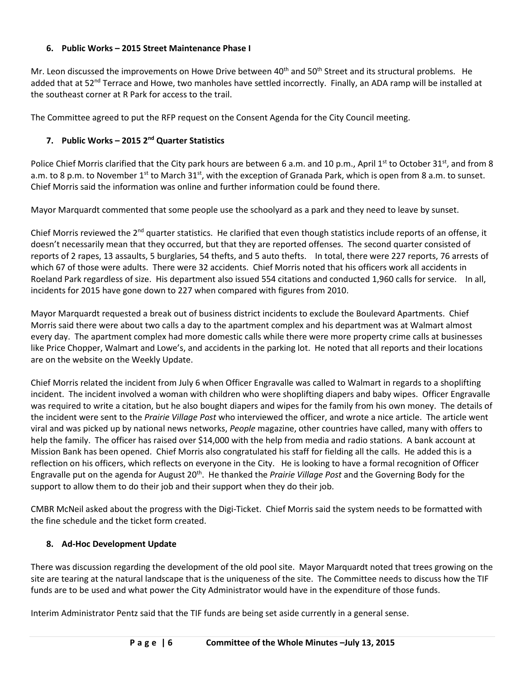### **6. Public Works – 2015 Street Maintenance Phase I**

Mr. Leon discussed the improvements on Howe Drive between  $40^{th}$  and  $50^{th}$  Street and its structural problems. He added that at 52<sup>nd</sup> Terrace and Howe, two manholes have settled incorrectly. Finally, an ADA ramp will be installed at the southeast corner at R Park for access to the trail.

The Committee agreed to put the RFP request on the Consent Agenda for the City Council meeting.

### **7. Public Works – 2015 2nd Quarter Statistics**

Police Chief Morris clarified that the City park hours are between 6 a.m. and 10 p.m., April 1<sup>st</sup> to October 31<sup>st</sup>, and from 8 a.m. to 8 p.m. to November 1<sup>st</sup> to March 31<sup>st</sup>, with the exception of Granada Park, which is open from 8 a.m. to sunset. Chief Morris said the information was online and further information could be found there.

Mayor Marquardt commented that some people use the schoolyard as a park and they need to leave by sunset.

Chief Morris reviewed the  $2^{nd}$  quarter statistics. He clarified that even though statistics include reports of an offense, it doesn't necessarily mean that they occurred, but that they are reported offenses. The second quarter consisted of reports of 2 rapes, 13 assaults, 5 burglaries, 54 thefts, and 5 auto thefts. In total, there were 227 reports, 76 arrests of which 67 of those were adults. There were 32 accidents. Chief Morris noted that his officers work all accidents in Roeland Park regardless of size. His department also issued 554 citations and conducted 1,960 calls for service. In all, incidents for 2015 have gone down to 227 when compared with figures from 2010.

Mayor Marquardt requested a break out of business district incidents to exclude the Boulevard Apartments. Chief Morris said there were about two calls a day to the apartment complex and his department was at Walmart almost every day. The apartment complex had more domestic calls while there were more property crime calls at businesses like Price Chopper, Walmart and Lowe's, and accidents in the parking lot. He noted that all reports and their locations are on the website on the Weekly Update.

Chief Morris related the incident from July 6 when Officer Engravalle was called to Walmart in regards to a shoplifting incident. The incident involved a woman with children who were shoplifting diapers and baby wipes. Officer Engravalle was required to write a citation, but he also bought diapers and wipes for the family from his own money. The details of the incident were sent to the *Prairie Village Post* who interviewed the officer, and wrote a nice article. The article went viral and was picked up by national news networks, *People* magazine, other countries have called, many with offers to help the family. The officer has raised over \$14,000 with the help from media and radio stations. A bank account at Mission Bank has been opened. Chief Morris also congratulated his staff for fielding all the calls. He added this is a reflection on his officers, which reflects on everyone in the City. He is looking to have a formal recognition of Officer Engravalle put on the agenda for August 20th. He thanked the *Prairie Village Post* and the Governing Body for the support to allow them to do their job and their support when they do their job.

CMBR McNeil asked about the progress with the Digi-Ticket. Chief Morris said the system needs to be formatted with the fine schedule and the ticket form created.

### **8. Ad-Hoc Development Update**

There was discussion regarding the development of the old pool site. Mayor Marquardt noted that trees growing on the site are tearing at the natural landscape that is the uniqueness of the site. The Committee needs to discuss how the TIF funds are to be used and what power the City Administrator would have in the expenditure of those funds.

Interim Administrator Pentz said that the TIF funds are being set aside currently in a general sense.